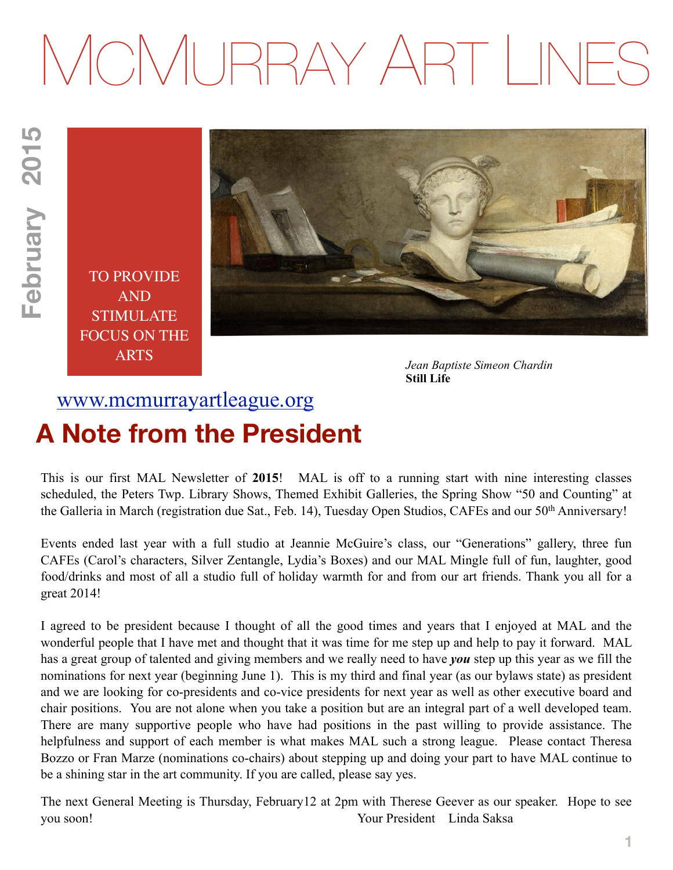# MCMURRAY ART LINES

TO PROVIDE AND STIMULATE FOCUS ON THE ARTS



*Jean Baptiste Simeon Chardin*  **Still Life**

# [www.mcmurrayartleague.org](http://www.mcmurrayartleague.org) **A Note from the President**

This is our first MAL Newsletter of **2015**! MAL is off to a running start with nine interesting classes scheduled, the Peters Twp. Library Shows, Themed Exhibit Galleries, the Spring Show "50 and Counting" at the Galleria in March (registration due Sat., Feb. 14), Tuesday Open Studios, CAFEs and our 50th Anniversary!

Events ended last year with a full studio at Jeannie McGuire's class, our "Generations" gallery, three fun CAFEs (Carol's characters, Silver Zentangle, Lydia's Boxes) and our MAL Mingle full of fun, laughter, good food/drinks and most of all a studio full of holiday warmth for and from our art friends. Thank you all for a great 2014!

I agreed to be president because I thought of all the good times and years that I enjoyed at MAL and the wonderful people that I have met and thought that it was time for me step up and help to pay it forward. MAL has a great group of talented and giving members and we really need to have *you* step up this year as we fill the nominations for next year (beginning June 1). This is my third and final year (as our bylaws state) as president and we are looking for co-presidents and co-vice presidents for next year as well as other executive board and chair positions. You are not alone when you take a position but are an integral part of a well developed team. There are many supportive people who have had positions in the past willing to provide assistance. The helpfulness and support of each member is what makes MAL such a strong league. Please contact Theresa Bozzo or Fran Marze (nominations co-chairs) about stepping up and doing your part to have MAL continue to be a shining star in the art community. If you are called, please say yes.

The next General Meeting is Thursday, February12 at 2pm with Therese Geever as our speaker. Hope to see you soon! Your President Linda Saksa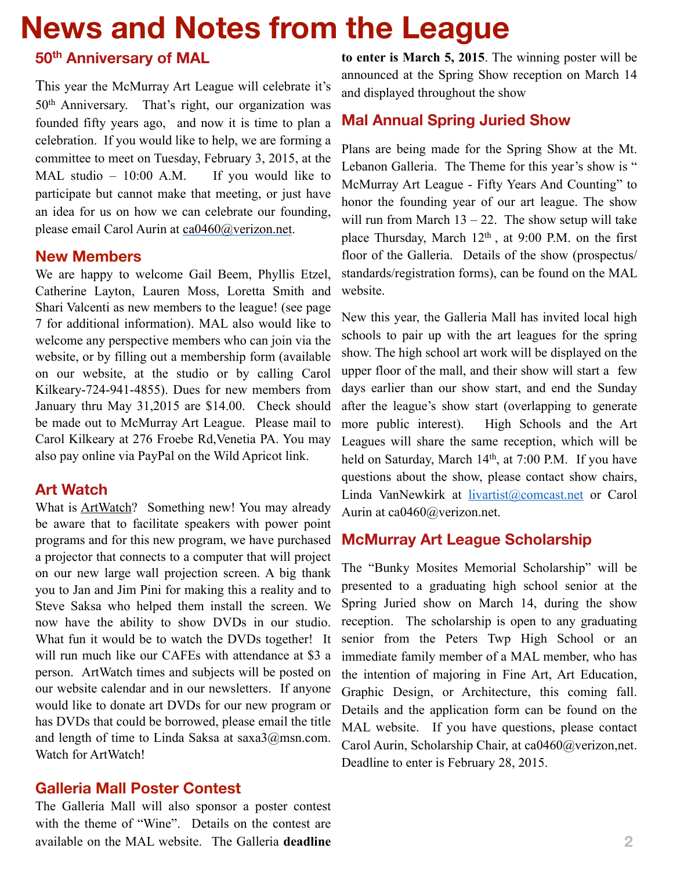# **News and Notes from the League**

# **50th Anniversary of MAL**

This year the McMurray Art League will celebrate it's 50th Anniversary. That's right, our organization was founded fifty years ago, and now it is time to plan a celebration. If you would like to help, we are forming a committee to meet on Tuesday, February 3, 2015, at the MAL studio  $-10:00$  A.M. If you would like to participate but cannot make that meeting, or just have an idea for us on how we can celebrate our founding, please email Carol Aurin at [ca0460@verizon.net.](mailto:ca0460@verizon.net)

#### **New Members**

We are happy to welcome Gail Beem, Phyllis Etzel, Catherine Layton, Lauren Moss, Loretta Smith and Shari Valcenti as new members to the league! (see page 7 for additional information). MAL also would like to welcome any perspective members who can join via the website, or by filling out a membership form (available on our website, at the studio or by calling Carol Kilkeary-724-941-4855). Dues for new members from January thru May 31,2015 are \$14.00. Check should be made out to McMurray Art League. Please mail to Carol Kilkeary at 276 Froebe Rd,Venetia PA. You may also pay online via PayPal on the Wild Apricot link.

#### **Art Watch**

What is ArtWatch? Something new! You may already be aware that to facilitate speakers with power point programs and for this new program, we have purchased a projector that connects to a computer that will project on our new large wall projection screen. A big thank you to Jan and Jim Pini for making this a reality and to Steve Saksa who helped them install the screen. We now have the ability to show DVDs in our studio. What fun it would be to watch the DVDs together! It will run much like our CAFEs with attendance at \$3 a person. ArtWatch times and subjects will be posted on our website calendar and in our newsletters. If anyone would like to donate art DVDs for our new program or has DVDs that could be borrowed, please email the title and length of time to Linda Saksa at saxa3@msn.com. Watch for ArtWatch!

#### **Galleria Mall Poster Contest**

The Galleria Mall will also sponsor a poster contest with the theme of "Wine". Details on the contest are available on the MAL website. The Galleria **deadline** 

**to enter is March 5, 2015**. The winning poster will be announced at the Spring Show reception on March 14 and displayed throughout the show

## **Mal Annual Spring Juried Show**

Plans are being made for the Spring Show at the Mt. Lebanon Galleria. The Theme for this year's show is " McMurray Art League - Fifty Years And Counting" to honor the founding year of our art league. The show will run from March  $13 - 22$ . The show setup will take place Thursday, March 12<sup>th</sup>, at 9:00 P.M. on the first floor of the Galleria. Details of the show (prospectus/ standards/registration forms), can be found on the MAL website.

New this year, the Galleria Mall has invited local high schools to pair up with the art leagues for the spring show. The high school art work will be displayed on the upper floor of the mall, and their show will start a few days earlier than our show start, and end the Sunday after the league's show start (overlapping to generate more public interest). High Schools and the Art Leagues will share the same reception, which will be held on Saturday, March 14<sup>th</sup>, at 7:00 P.M. If you have questions about the show, please contact show chairs, Linda VanNewkirk at [livartist@comcast.net](mailto:livartist@comcast.net) or Carol Aurin at ca0460@verizon.net.

## **McMurray Art League Scholarship**

The "Bunky Mosites Memorial Scholarship" will be presented to a graduating high school senior at the Spring Juried show on March 14, during the show reception. The scholarship is open to any graduating senior from the Peters Twp High School or an immediate family member of a MAL member, who has the intention of majoring in Fine Art, Art Education, Graphic Design, or Architecture, this coming fall. Details and the application form can be found on the MAL website. If you have questions, please contact Carol Aurin, Scholarship Chair, at ca0460@verizon,net. Deadline to enter is February 28, 2015.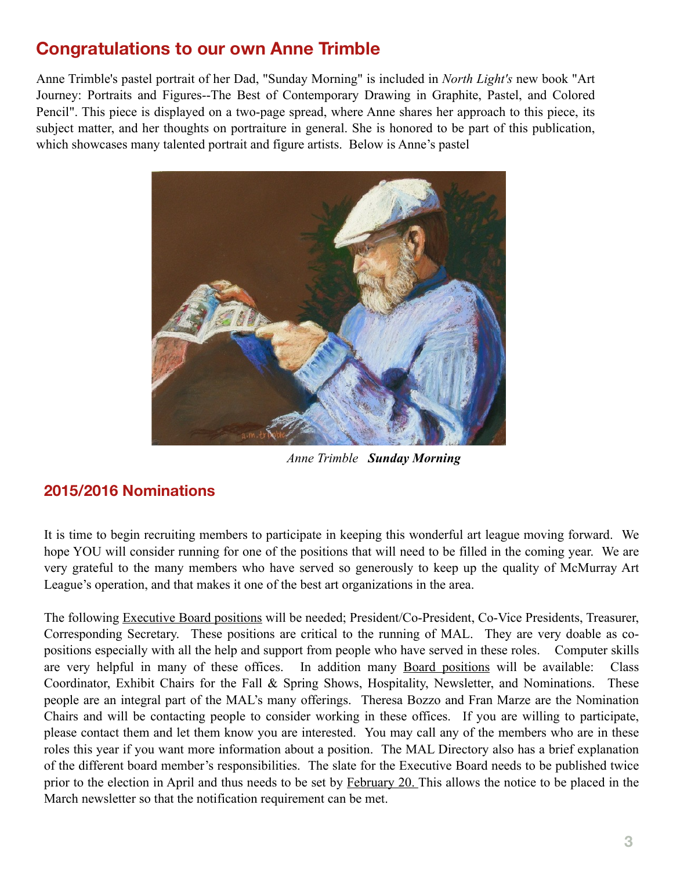# **Congratulations to our own Anne Trimble**

Anne Trimble's pastel portrait of her Dad, "Sunday Morning" is included in *North Light's* new book "Art Journey: Portraits and Figures--The Best of Contemporary Drawing in Graphite, Pastel, and Colored Pencil". This piece is displayed on a two-page spread, where Anne shares her approach to this piece, its subject matter, and her thoughts on portraiture in general. She is honored to be part of this publication, which showcases many talented portrait and figure artists. Below is Anne's pastel



*Anne Trimble Sunday Morning*

# **2015/2016 Nominations**

It is time to begin recruiting members to participate in keeping this wonderful art league moving forward. We hope YOU will consider running for one of the positions that will need to be filled in the coming year. We are very grateful to the many members who have served so generously to keep up the quality of McMurray Art League's operation, and that makes it one of the best art organizations in the area.

The following Executive Board positions will be needed; President/Co-President, Co-Vice Presidents, Treasurer, Corresponding Secretary. These positions are critical to the running of MAL. They are very doable as copositions especially with all the help and support from people who have served in these roles. Computer skills are very helpful in many of these offices. In addition many Board positions will be available: Class Coordinator, Exhibit Chairs for the Fall & Spring Shows, Hospitality, Newsletter, and Nominations. These people are an integral part of the MAL's many offerings. Theresa Bozzo and Fran Marze are the Nomination Chairs and will be contacting people to consider working in these offices. If you are willing to participate, please contact them and let them know you are interested. You may call any of the members who are in these roles this year if you want more information about a position. The MAL Directory also has a brief explanation of the different board member's responsibilities. The slate for the Executive Board needs to be published twice prior to the election in April and thus needs to be set by February 20. This allows the notice to be placed in the March newsletter so that the notification requirement can be met.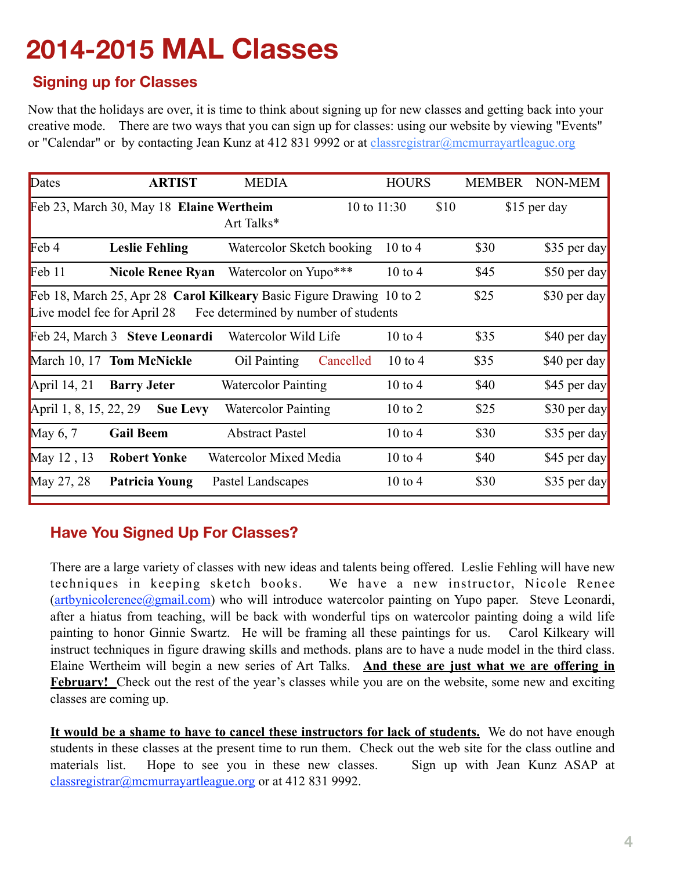# **2014-2015 MAL Classes**

# **Signing up for Classes**

Now that the holidays are over, it is time to think about signing up for new classes and getting back into your creative mode. There are two ways that you can sign up for classes: using our website by viewing "Events" or "Calendar" or by contacting Jean Kunz at 412 831 9992 or at *classregistrar@mcmurrayartleague.org* 

| Dates                  | <b>ARTIST</b>                            | <b>MEDIA</b>                                                                                                 | <b>HOURS</b>       | <b>MEMBER</b> | NON-MEM      |
|------------------------|------------------------------------------|--------------------------------------------------------------------------------------------------------------|--------------------|---------------|--------------|
|                        | Feb 23, March 30, May 18 Elaine Wertheim | 10 to $11:30$<br>Art Talks*                                                                                  | \$10               |               | \$15 per day |
| $\text{Feb } 4$        | <b>Leslie Fehling</b>                    | Watercolor Sketch booking                                                                                    | $10 \text{ to } 4$ | \$30          | \$35 per day |
| Feb 11                 | <b>Nicole Renee Ryan</b>                 | Watercolor on Yupo***                                                                                        | $10$ to $4$        | \$45          | \$50 per day |
|                        | Live model fee for April 28              | Feb 18, March 25, Apr 28 Carol Kilkeary Basic Figure Drawing 10 to 2<br>Fee determined by number of students |                    | \$25          | \$30 per day |
|                        | Feb 24, March 3 Steve Leonardi           | Watercolor Wild Life                                                                                         | $10 \text{ to } 4$ | \$35          | \$40 per day |
|                        | March 10, 17 Tom McNickle                | Oil Painting<br>Cancelled                                                                                    | $10$ to 4          | \$35          | \$40 per day |
| April $14, 21$         | <b>Barry Jeter</b>                       | <b>Watercolor Painting</b>                                                                                   | $10$ to $4$        | \$40          | \$45 per day |
| April 1, 8, 15, 22, 29 | <b>Sue Levy</b>                          | <b>Watercolor Painting</b>                                                                                   | $10$ to $2$        | \$25          | \$30 per day |
| May $6, 7$             | <b>Gail Beem</b>                         | <b>Abstract Pastel</b>                                                                                       | $10$ to $4$        | \$30          | \$35 per day |
| May 12, 13             | <b>Robert Yonke</b>                      | Watercolor Mixed Media                                                                                       | $10$ to $4$        | \$40          | \$45 per day |
| May 27, 28             | <b>Patricia Young</b>                    | Pastel Landscapes                                                                                            | $10$ to $4$        | \$30          | \$35 per day |

# **Have You Signed Up For Classes?**

There are a large variety of classes with new ideas and talents being offered. Leslie Fehling will have new techniques in keeping sketch books. We have a new instructor, Nicole Renee  $(\text{artbynicolerenee}(\partial \text{gmail.com})$  who will introduce watercolor painting on Yupo paper. Steve Leonardi, after a hiatus from teaching, will be back with wonderful tips on watercolor painting doing a wild life painting to honor Ginnie Swartz. He will be framing all these paintings for us. Carol Kilkeary will instruct techniques in figure drawing skills and methods. plans are to have a nude model in the third class. Elaine Wertheim will begin a new series of Art Talks. **And these are just what we are offering in February!** Check out the rest of the year's classes while you are on the website, some new and exciting classes are coming up.

**It would be a shame to have to cancel these instructors for lack of students.** We do not have enough students in these classes at the present time to run them. Check out the web site for the class outline and materials list. Hope to see you in these new classes. Sign up with Jean Kunz ASAP at [classregistrar@mcmurrayartleague.org](mailto:classregistrar@mcmurrayartleague.org) or at 412 831 9992.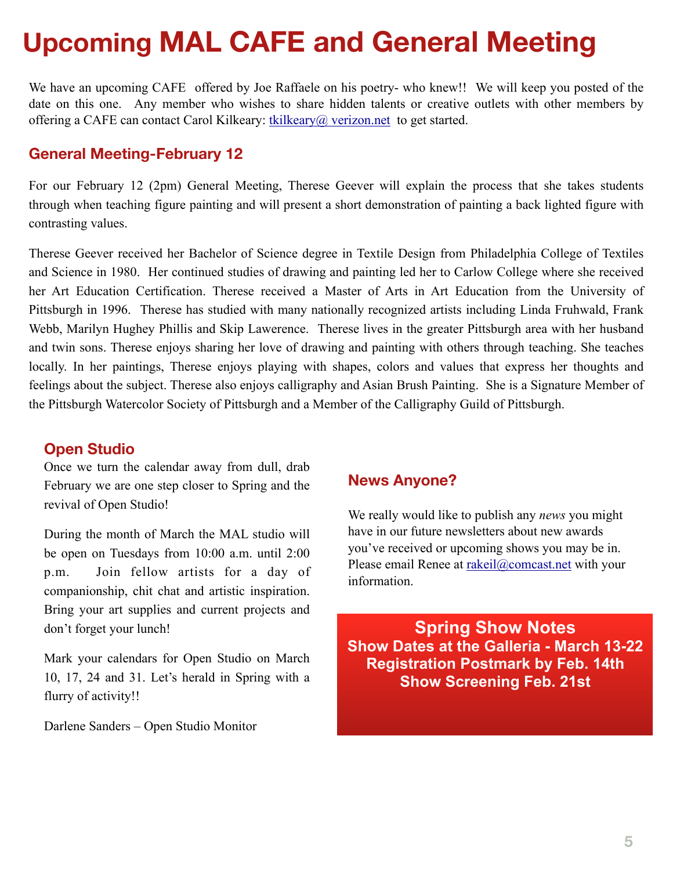# **Upcoming MAL CAFE and General Meeting**

We have an upcoming CAFE offered by Joe Raffaele on his poetry- who knew!! We will keep you posted of the date on this one. Any member who wishes to share hidden talents or creative outlets with other members by offering a CAFE can contact Carol Kilkeary:  $\frac{1}{1}$  kilkeary $\omega$ , verizon.net to get started.

## **General Meeting-February 12**

For our February 12 (2pm) General Meeting, Therese Geever will explain the process that she takes students through when teaching figure painting and will present a short demonstration of painting a back lighted figure with contrasting values.

Therese Geever received her Bachelor of Science degree in Textile Design from Philadelphia College of Textiles and Science in 1980. Her continued studies of drawing and painting led her to Carlow College where she received her Art Education Certification. Therese received a Master of Arts in Art Education from the University of Pittsburgh in 1996. Therese has studied with many nationally recognized artists including Linda Fruhwald, Frank Webb, Marilyn Hughey Phillis and Skip Lawerence. Therese lives in the greater Pittsburgh area with her husband and twin sons. Therese enjoys sharing her love of drawing and painting with others through teaching. She teaches locally. In her paintings, Therese enjoys playing with shapes, colors and values that express her thoughts and feelings about the subject. Therese also enjoys calligraphy and Asian Brush Painting. She is a Signature Member of the Pittsburgh Watercolor Society of Pittsburgh and a Member of the Calligraphy Guild of Pittsburgh.

#### **Open Studio**

Once we turn the calendar away from dull, drab February we are one step closer to Spring and the revival of Open Studio!

During the month of March the MAL studio will be open on Tuesdays from 10:00 a.m. until 2:00 p.m. Join fellow artists for a day of companionship, chit chat and artistic inspiration. Bring your art supplies and current projects and don't forget your lunch!

Mark your calendars for Open Studio on March 10, 17, 24 and 31. Let's herald in Spring with a flurry of activity!!

Darlene Sanders – Open Studio Monitor

## **News Anyone?**

We really would like to publish any *news* you might have in our future newsletters about new awards you've received or upcoming shows you may be in. Please email Renee at [rakeil@comcast.net](mailto:rakeil@comcast.net) with your information.

**Spring Show Notes Show Dates at the Galleria - March 13-22 Registration Postmark by Feb. 14th Show Screening Feb. 21st**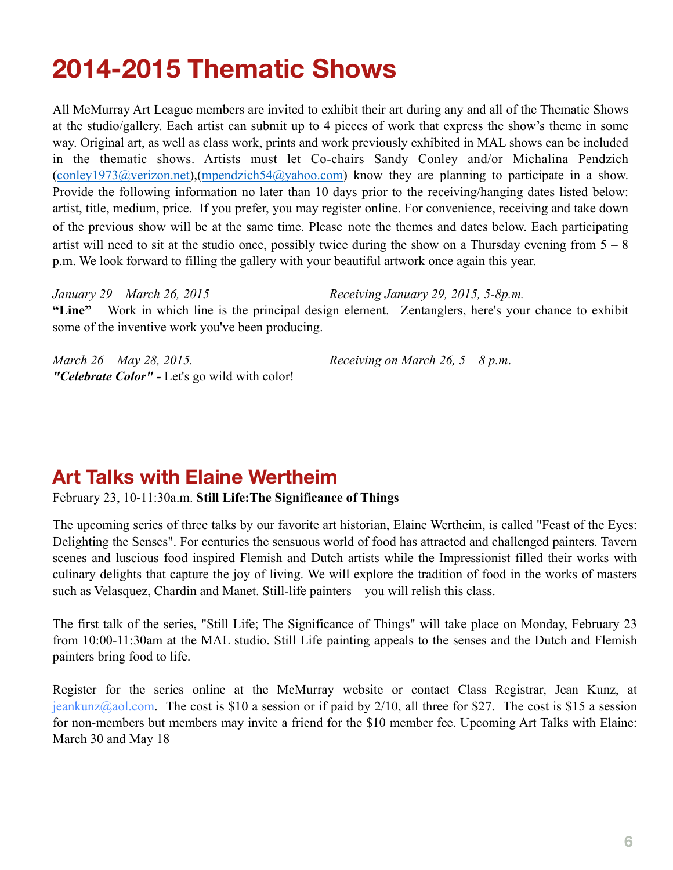# **2014-2015 Thematic Shows**

All McMurray Art League members are invited to exhibit their art during any and all of the Thematic Shows at the studio/gallery. Each artist can submit up to 4 pieces of work that express the show's theme in some way. Original art, as well as class work, prints and work previously exhibited in MAL shows can be included in the thematic shows. Artists must let Co-chairs Sandy Conley and/or Michalina Pendzich ([conley1973@verizon.net\)](mailto:conley1973@verizon.net),([mpendzich54@yahoo.com](mailto:mpendzich54@yahoo.com)) know they are planning to participate in a show. Provide the following information no later than 10 days prior to the receiving/hanging dates listed below: artist, title, medium, price. If you prefer, you may register online. For convenience, receiving and take down of the previous show will be at the same time. Please note the themes and dates below. Each participating artist will need to sit at the studio once, possibly twice during the show on a Thursday evening from  $5 - 8$ p.m. We look forward to filling the gallery with your beautiful artwork once again this year.

*January 29 – March 26, 2015 Receiving January 29, 2015, 5-8p.m.*  **"Line"** – Work in which line is the principal design element. Zentanglers, here's your chance to exhibit some of the inventive work you've been producing.

| March 26 – May 28, 2015.                             | Receiving on March 26, $5 - 8$ p.m. |
|------------------------------------------------------|-------------------------------------|
| <i>"Celebrate Color"</i> - Let's go wild with color! |                                     |

# **Art Talks with Elaine Wertheim**

February 23, 10-11:30a.m. **Still Life:The Significance of Things**

The upcoming series of three talks by our favorite art historian, Elaine Wertheim, is called "Feast of the Eyes: Delighting the Senses". For centuries the sensuous world of food has attracted and challenged painters. Tavern scenes and luscious food inspired Flemish and Dutch artists while the Impressionist filled their works with culinary delights that capture the joy of living. We will explore the tradition of food in the works of masters such as Velasquez, Chardin and Manet. Still-life painters—you will relish this class.

The first talk of the series, "Still Life; The Significance of Things" will take place on Monday, February 23 from 10:00-11:30am at the MAL studio. Still Life painting appeals to the senses and the Dutch and Flemish painters bring food to life.

Register for the series online at the McMurray website or contact Class Registrar, Jean Kunz, at  $jeankunz@aol.com$ . The cost is \$10 a session or if paid by 2/10, all three for \$27. The cost is \$15 a session for non-members but members may invite a friend for the \$10 member fee. Upcoming Art Talks with Elaine: March 30 and May 18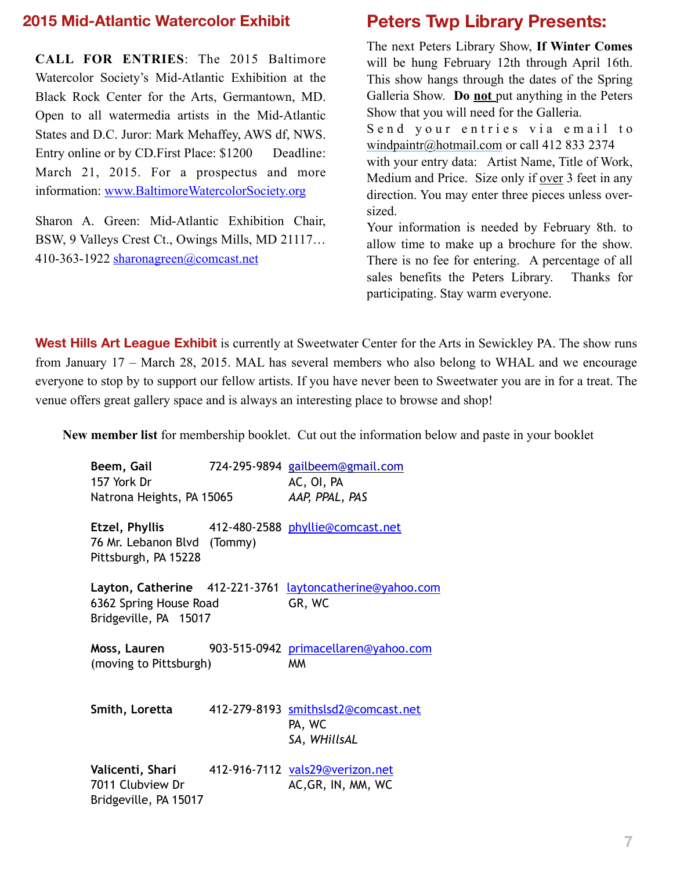#### **2015 Mid-Atlantic Watercolor Exhibit**

**CALL FOR ENTRIES**: The 2015 Baltimore Watercolor Society's Mid-Atlantic Exhibition at the Black Rock Center for the Arts, Germantown, MD. Open to all watermedia artists in the Mid-Atlantic States and D.C. Juror: Mark Mehaffey, AWS df, NWS. Entry online or by CD. First Place: \$1200 Deadline: March 21, 2015. For a prospectus and more information: [www.BaltimoreWatercolorSociety.org](http://www.BaltimoreWatercolorSociety.org)

Sharon A. Green: Mid-Atlantic Exhibition Chair, BSW, 9 Valleys Crest Ct., Owings Mills, MD 21117… 410-363-1922 [sharonagreen@comcast.net](mailto:sharonagreen@comcast.net)

## **Peters Twp Library Presents:**

The next Peters Library Show, **If Winter Comes**  will be hung February 12th through April 16th. This show hangs through the dates of the Spring Galleria Show. **Do not** put anything in the Peters Show that you will need for the Galleria. Send your entries via email to [windpaintr@hotmail.com](mailto:windpaintr@hotmail.com) or call 412 833 2374

with your entry data: Artist Name, Title of Work, Medium and Price. Size only if over 3 feet in any direction. You may enter three pieces unless oversized.

Your information is needed by February 8th. to allow time to make up a brochure for the show. There is no fee for entering. A percentage of all sales benefits the Peters Library. Thanks for participating. Stay warm everyone.

West Hills Art League Exhibit is currently at Sweetwater Center for the Arts in Sewickley PA. The show runs from January 17 – March 28, 2015. MAL has several members who also belong to WHAL and we encourage everyone to stop by to support our fellow artists. If you have never been to Sweetwater you are in for a treat. The venue offers great gallery space and is always an interesting place to browse and shop!

**New member list** for membership booklet. Cut out the information below and paste in your booklet

| Beem, Gail<br>157 York Dr                                                         |         | 724-295-9894 gailbeem@gmail.com<br>AC, OI, PA                 |
|-----------------------------------------------------------------------------------|---------|---------------------------------------------------------------|
| Natrona Heights, PA 15065                                                         |         | AAP, PPAL, PAS                                                |
| Etzel, Phyllis<br>76 Mr. Lebanon Blvd<br>Pittsburgh, PA 15228                     | (Tommy) | 412-480-2588 phyllie@comcast.net                              |
| Layton, Catherine 412-221-3761<br>6362 Spring House Road<br>Bridgeville, PA 15017 |         | laytoncatherine@yahoo.com<br>GR, WC                           |
| Moss, Lauren<br>(moving to Pittsburgh)                                            |         | 903-515-0942 primacellaren@yahoo.com<br>МM                    |
| Smith, Loretta                                                                    |         | 412-279-8193 smithslsd2@comcast.net<br>PA, WC<br>SA, WHillsAL |
| Valicenti, Shari<br>7011 Clubview Dr                                              |         | 412-916-7112 vals29@verizon.net<br>AC, GR, IN, MM, WC         |

Bridgeville, PA 15017